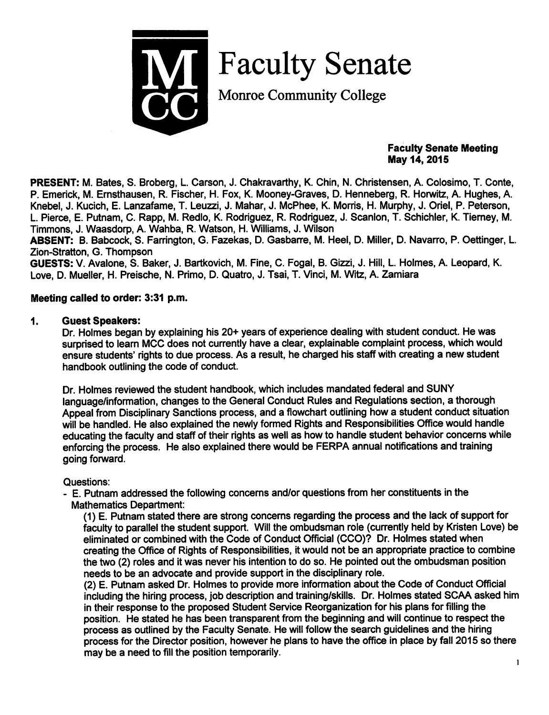

Faculty Senate

Monroe Community College

### *Faculty Senate Meeting May 14, 2015*

*PRESENT:* M. Bates, S. Broberg, L. Carson, J. Chakravarthy, K. Chin, N. Christensen, A. Colosimo, T. Conte, P. Emerick, M. Emsthausen, R. Fischer, H. Fox, K. Mooney-Graves, D. Henneberg, R. Horwitz, A. Hughes, A. Knebel, J. Kucich, E. Lanzafame, T. Leuzzi, J. Mahar, J. McPhee, K. Morris, H. Murphy, J. Oriel, P. Peterson, L. Pierce, E. Putnam, C. Rapp, M. Redlo, K. Rodriguez, R. Rodriguez, J. Scanlon, T. Schichler, K. Tierney, M. Timmons, J. Waasdorp, A. Wahba, R. Watson, H. Williams, J. Wilson

*ABSENT:* B. Babcock, S. Fanington, G. Fazekas, D. Gasbarre, M. Heel, D. Miller, D. Navarro, P. Oettinger, L. Zion-Stratton, G. Thompson

**GUESTS:** V. Avalone, S. Baker, J. Bartkovich, M. Fine, C. Fogal, B. Gizzi, J. Hill, L. Holmes, A. Leopard, K. Love, D. Mueller, H. Preische, N. Primo, D. Quatro, J. Tsai, T. Vinci, M. Witz, A. Zamiara

# *Meeting called to order: 3:31 p.m.*

### *1. Guest Speakers:*

Dr. Holmes began by explaining his 20+ years of experience dealing with student conduct. He was surprised to learn MCC does not currently have a clear, explainable complaint process, which would ensure students' rights to due process. As a result, he charged his staff with creating a new student handbook outlining the code of conduct.

Dr. Holmes reviewed the student handbook, which includes mandated federal and SUNY language/information, changes to the General Conduct Rules and Regulations section, a thorough Appeal from Disciplinary Sanctions process, and a flowchart outlining how a student conduct situation will be handled. He also explained the newly formed Rights and Responsibilities Office would handle educating the faculty and staff of their rights as well as howto handle student behavior concerns while enforcing the process. He also explained there would be FERPA annual notifications and training going forward.

### Questions:

- E. Putnam addressed the following concerns and/or questions from her constituents in the Mathematics Department:

(1) E. Putnam stated there are strong concerns regarding the process and the lack of support for faculty to parallel the student support. Will the ombudsman role (currently held by Kristen Love) be eliminated or combined with the Code of Conduct Official (CCO)? Dr. Holmes stated when creating the Office of Rights of Responsibilities, it would not be an appropriate practice to combine the two (2) roles and itwas never his intention to do so. He pointed out the ombudsman position needs to be an advocate and provide support in the disciplinary role.

(2) E. Putnam asked Dr. Holmes to provide more information about the Code of Conduct Official including the hiring process, job description and training/skills. Dr. Holmes stated SCAA asked him in their response to the proposed Student Service Reorganization for his plans for filling the position. He stated he has been transparent from the beginning and will continue to respect the process as outlined by the Faculty Senate. He will follow the search guidelines and the hiring process for the Director position, however he plans to have the office in place by fall 2015 so there may be a need to fill the position temporarily.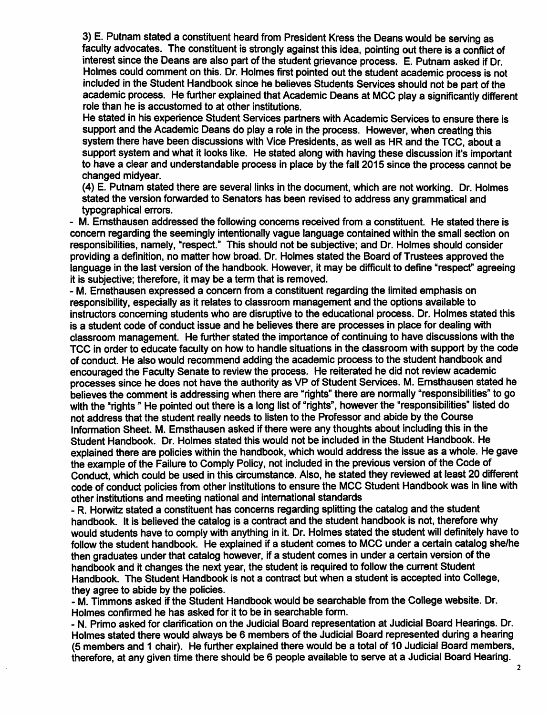*3) E. Putnam stated a constituent heard from President Kress the Deans would be serving as* faculty advocates. The constituent is strongly against this idea, pointing out there is a conflict of *interest since the Deans are also part of the student grievance process. E. Putnam asked if Dr.* Holmes could comment on this. Dr. Holmes first pointed out the student academic process is not *included in the Student Handbook since he believes Students Services should not be part of the academic process. He further explainedthat Academic Deans at MCC playa significantly different role than he is accustomed to at other institutions.*

*He stated in his experience Student Services partners with Academic Services to ensure there is support and the Academic Deans do play a role inthe process. However, when creating this system there have been discussions with Vice Presidents, as well as HR and the TCC, about a support system and what it looks like. He stated along with having these discussion it's important to have a clear and understandable process in place by the fall 2015 since the process cannot be changed midyear.*

*(4) E. Putnam stated there are several links in the document, which are not working. Dr. Holmes stated the version forwarded to Senators has been revised to address any grammatical and typographical errors.*

*- M. Emsthausen addressed the following concerns received from a constituent. He stated there is concern regarding the seemingly intentionally vague language contained within the small section on responsibilities, namely, "respect." This should not be subjective; and Dr. Holmes should consider providing a definition, no matter how broad. Dr. Holmes stated the Board of Trustees approved the language in the last version of the handbook. However, it may be difficult to define "respect" agreeing it is subjective; therefore, it may be a term that is removed.*

*- M. Emsthausen expressed a concern from a constituent regarding the limited emphasis on responsibility, especially as itrelates to classroom management and the options available to instructors concerning students who are disruptive to the educational process. Dr. Holmes stated this is a student code of conduct issue and he believes there are processes in place for dealing with classroom management. He further stated the importance of continuing to have discussions with the TCC in order to educate faculty on how to handle situations in the classroom with support by the code of conduct. He also would recommend adding the academic process to the student handbook and encouraged the Faculty Senate to reviewthe process. He reiterated he did not review academic processes since he does not have the authority as VP of Student Services. M. Emsthausen stated he believes the comment is addressing when there are "rights" there are normally"responsibilities" to go with the "rights" He pointed out there is a long list of "rights", howeverthe "responsibilities" listed do not address that the student really needs to listen to the Professor and abide by the Course Information Sheet. M. Emsthausen asked ifthere were any thoughts about including this in the Student Handbook. Dr. Holmes stated this would not be included in the Student Handbook. He explained there are policies within the handbook, which would address the issue as a whole. He gave the example of the Failure to Comply Policy, not included inthe previous version of the Code of Conduct, which could be used in this circumstance. Also, he stated they reviewed at least 20 different code of conduct policies from other institutions to ensure the MCC Student Handbook was in linewith other institutions and meeting national and international standards*

*- R. Horwitz stated a constituent has concerns regarding splitting the catalog and the student handbook. It is believed the catalog is a contract and the student handbook is not, therefore why would students have to comply with anything in it. Dr. Holmes stated the student will definitely have to follow the student handbook. He explained if a student comes to MCC under a certain catalog she/he then graduates under that catalog however, if a student comes in under a certain version of the handbook and it changes the next year, the student is required to followthe current Student Handbook. The Student Handbook is not a contract but when a student is accepted into College, they agree to abide by the policies.*

*- M. Timmons asked if the Student Handbook would be searchable from the College website. Dr. Holmes confirmed he has asked for it to be in searchable form.*

*- N. Primo asked for clarification on the Judicial Board representation at Judicial Board Hearings. Dr. Holmes stated there would always be 6 members of the Judicial Board represented during a hearing (5 members and 1 chair). He further explained there would be a total of 10 Judicial Board members, therefore, at any given time there should be 6 people available to serve at a Judicial Board Hearing.*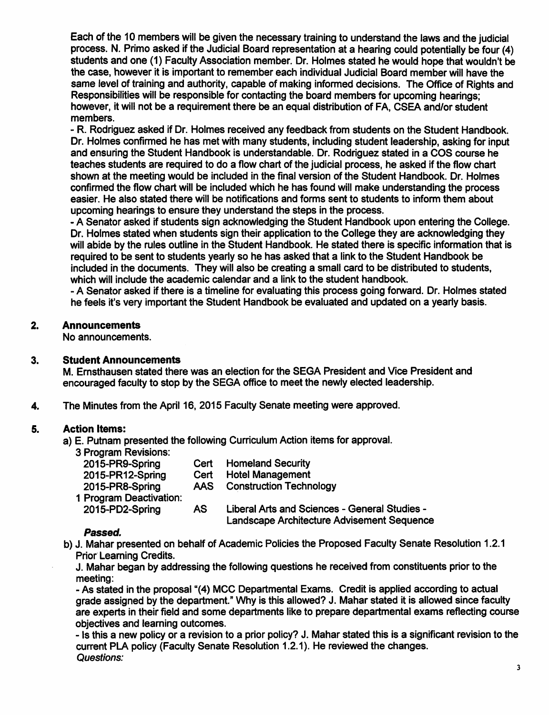Each ofthe 10 members will be given the necessary training to understand the lawsand the judicial process. N. Primo asked if the Judicial Board representation at a hearing could potentially be four (4) students and one (1) Faculty Association member. Dr. Holmes stated he would hope that wouldn't be the case, however it is important to remember each individual Judicial Board member will have the same level of training and authority, capable of making informed decisions. The Office of Rights and Responsibilities will be responsible for contacting the board members for upcoming hearings; however, it will not be a requirement there be an equal distribution of FA, CSEA and/or student members.

- R. Rodriguez asked if Dr. Holmes received any feedback from students on the Student Handbook. Dr. Holmes confirmed he has met with many students, including student leadership, asking for input and ensuring the Student Handbook is understandable. Dr. Rodriguez stated in a COS course he teaches students are required to do a flow chart of the judicial process, he asked ifthe flow chart shown at the meeting would be included in the final version of the Student Handbook. Dr. Holmes confirmed the flow chart will be included which he has found will make understanding the process easier. He also stated there will be notifications and forms sent to students to inform them about upcoming hearings to ensure they understand the steps in the process.

- A Senator asked if students sign acknowledging the Student Handbook upon entering the College. Dr. Holmes stated when students sign their application to the College they are acknowledging they will abide by the rules outline in the Student Handbook. He stated there is specific information that is required to be sent to students yearly so he has asked that a linkto the Student Handbook be included in the documents. They will also be creating a small card to be distributed to students, which will include the academic calendar and a link to the student handbook.

- A Senator asked ifthere is a timeline for evaluating this process going forward. Dr. Holmes stated he feels it's very important the Student Handbook be evaluated and updated on a yearly basis.

# *2. Announcements*

No announcements.

# *3. Student Announcements*

M. Emsthausen stated there was an election for the SEGA President and Vice President and encouraged faculty to stop by the SEGA office to meet the newly elected leadership.

4. The Minutes from the April 16, 2015 Faculty Senate meeting were approved.

# *5. Action Items:*

a) E. Putnam presented the following Curriculum Action items for approval.

3 Program Revisions:

| 2015-PR9-Spring         | Cert       | <b>Homeland Security</b>                                                                    |
|-------------------------|------------|---------------------------------------------------------------------------------------------|
| 2015-PR12-Spring        | Cert       | <b>Hotel Management</b>                                                                     |
| 2015-PR8-Spring         | <b>AAS</b> | <b>Construction Technology</b>                                                              |
| 1 Program Deactivation: |            |                                                                                             |
| 2015-PD2-Spring         | AS         | Liberal Arts and Sciences - General Studies -<br>Landscape Architecture Advisement Sequence |

### *Passed.*

b) J. Mahar presented on behalf of Academic Policies the Proposed Faculty Senate Resolution 1.2.1 Prior Learning Credits.

J. Mahar began by addressing the following questions he received from constituents prior to the meeting:

- As stated in the proposal "(4) MCC Departmental Exams. Credit is applied according to actual grade assigned by the department." Why is this allowed? J. Mahar stated it is allowed since faculty are experts in their field and some departments like to prepare departmental exams reflecting course objectives and learning outcomes.

- Is this a new policy or a revision to a prior policy? J. Mahar stated this is a significant revision to the current PLA policy (Faculty Senate Resolution 1.2.1). He reviewed the changes. **Questions:**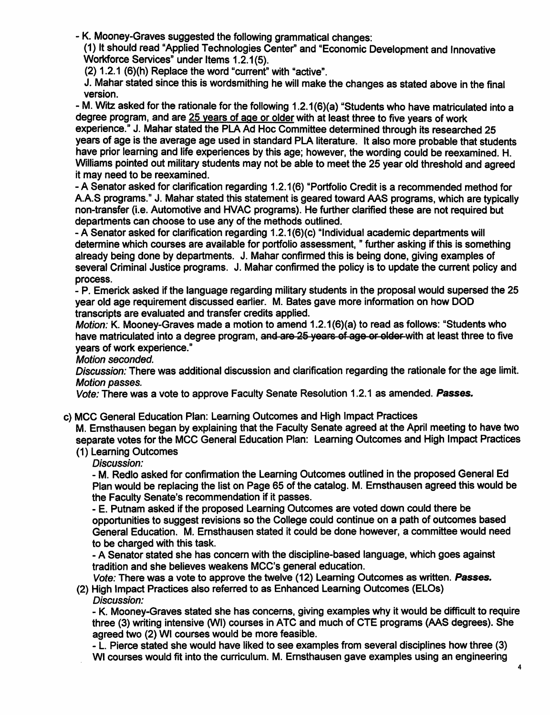- K. Mooney-Graves suggested the following grammatical changes:

(1) It should read "Applied Technologies Center" and "Economic Development and Innovative Workforce Services" under Items 1.2.1(5).

(2) 1.2.1 (6)(h) Replace the word "current" with "active".

J. Mahar stated since this is wordsmithing he will make the changes as stated above in the final version.

- M. Witz asked for the rationale for the following 1.2.1(6)(a) "Students who have matriculated into a degree program, and are 25 years of age or older with at least three to five years of work experience." J. Mahar stated the PLA Ad Hoc Committee determined through its researched 25 years of age is the average age used in standard PLA literature. It also more probable that students have prior learning and life experiences by this age; however, the wording could be reexamined. H. Williams pointed out military students may not be able to meet the 25 year old threshold and agreed it may need to be reexamined.

- A Senator asked for clarification regarding 1.2.1(6) "Portfolio Credit is a recommended method for A.A.S programs." J. Mahar stated this statement is geared toward AAS programs, which are typically non-transfer (i.e. Automotive and HVAC programs). He further clarified these are not required but departments can choose to use any of the methods outlined.

- A Senator asked for clarification regarding 1.2.1(6)(c) "Individual academic departments will determine which courses are available for portfolio assessment, " further asking if this is something already being done by departments. J. Mahar confirmed this is being done, giving examples of several Criminal Justice programs. J. Mahar confirmed the policy is to update the current policy and process.

- P. Emerick asked ifthe language regarding military students in the proposal would supersed the 25 year old age requirement discussed earlier. M. Bates gave more information on how DOD transcripts are evaluated and transfer credits applied.

**Motion:** K. Mooney-Graves made a motion to amend 1.2.1(6)(a) to read as follows: "Students who have matriculated into a degree program, and are 25 years of age or older with at least three to five years of work experience."

**Motion seconded.**

**Discussion:** There was additional discussion and clarification regarding the rationale for the age limit. **Motion passes.**

**Vote:**There was a vote to approve Faculty Senate Resolution 1.2.1 as amended. *Passes.*

c) MCC General Education Plan: Learning Outcomes and High Impact Practices

M. Emsthausen began by explaining that the Faculty Senate agreed at the April meeting to have two separate votes for the MCC General Education Plan: Learning Outcomes and High Impact Practices (1) Learning Outcomes

**Discussion:**

- M. Redlo asked for confirmation the Learning Outcomes outlined in the proposed General Ed Plan would be replacing the list on Page 65 ofthe catalog. M. Emsthausen agreed this would be the Faculty Senate's recommendation if it passes.

- E. Putnam asked if the proposed Learning Outcomes are voted down could there be opportunities to suggest revisions so the College could continue on a path of outcomes based General Education. M. Emsthausen stated it could be done however, a committee would need to be charged with this task.

- A Senator stated she has concern with the discipline-based language, which goes against tradition and she believes weakens MCC's general education.

**Vote:** There was a vote to approve the twelve (12) Learning Outcomes as written. *Passes.*

(2) High Impact Practices also referred to as Enhanced Learning Outcomes (ELOs) **Discussion:**

**-** K. Mooney-Graves stated she has concerns, giving examples why it would be difficult to require three (3) writing intensive (Wl) courses in ATC and much of CTE programs (AAS degrees). She agreed two (2) Wl courses would be more feasible.

- L. Pierce stated she would have liked to see examples from several disciplines how three (3) Wl courses would fit into the curriculum. M. Emsthausen gave examples using an engineering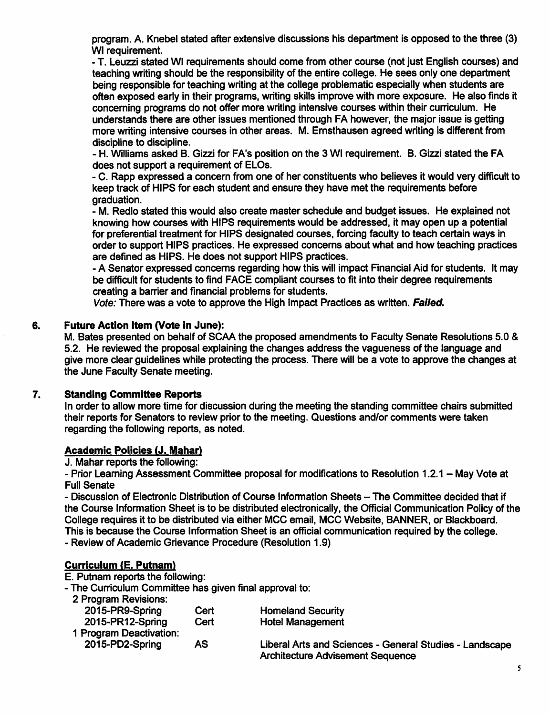program. A. Knebel stated after extensive discussions his department is opposed to the three (3) Wl requirement.

- T. Leuzzi stated Wl requirements should come from other course (not just English courses) and teaching writing should be the responsibility of the entire college. He sees only one department being responsible for teaching writing at the college problematic especially when students are often exposed early in their programs, writing skills improve with more exposure. He also finds it concerning programs do not offer more writing intensive courses within their curriculum. He understands there are other issues mentioned through FA however, the major issue is getting more writing intensive courses in other areas. M. Emsthausen agreed writing is different from discipline to discipline.

- H. Williams asked B. Gizzi for FA's position on the 3 Wl requirement. B. Gizzi stated the FA does not support a requirement of ELOs.

- C. Rapp expressed a concern from one of her constituents who believes it would very difficult to keep track of HIPS for each student and ensure they have met the requirements before graduation.

- M. Redlo stated this would also create master schedule and budget issues. He explained not knowing how courses with HIPS requirements would be addressed, it may open up a potential for preferential treatment for HIPS designated courses, forcing faculty to teach certain ways in order to support HIPS practices. He expressed concerns about what and how teaching practices are defined as HIPS. He does not support HIPS practices.

- A Senator expressed concerns regarding how this will impact Financial Aid for students. It may be difficult for students to find FACE compliant courses to fit into their degree requirements creating a barrier and financial problems for students.

**Vote:**There was a vote to approve the High Impact Practices as written. *Failed.*

# *6. Future Action Item (Vote in June):*

M. Bates presented on behalf of SCAA the proposed amendments to Faculty Senate Resolutions 5.0 & 5.2. He reviewed the proposal explaining the changes address the vagueness of the language and give more clear guidelines while protecting the process. There will be a vote to approve the changes at the June Faculty Senate meeting.

# *7. Standing Committee Reports*

In order to allow more time for discussion during the meeting the standing committee chairs submitted their reports for Senators to review prior to the meeting. Questions and/or comments were taken regarding the following reports, as noted.

# *Academic Policies (J. Mahar)*

J. Mahar reports the following:

- Prior Learning Assessment Committee proposal for modifications to Resolution 1.2.1 - May Vote at Full Senate

- Discussion of Electronic Distribution of Course Information Sheets - The Committee decided that if the Course Information Sheet is to be distributed electronically, the Official Communication Policy of the College requires it to be distributed via either MCC email, MCC Website, BANNER, or Blackboard. This is because the Course Information Sheet is an official communication required by the college.

- Review of Academic Grievance Procedure (Resolution 1.9)

# *Curriculum (E. Putnam)*

E. Putnam reports the following:

- The Curriculum Committee has given final approval to:

|  | 2 Program Revisions: |
|--|----------------------|
|--|----------------------|

| 2015-PR9-Spring         | Cert | <b>Homeland Security</b>                                |
|-------------------------|------|---------------------------------------------------------|
| 2015-PR12-Spring        | Cert | <b>Hotel Management</b>                                 |
| 1 Program Deactivation: |      |                                                         |
| 2015-PD2-Spring         | AS   | Liberal Arts and Sciences - General Studies - Landscape |
|                         |      | <b>Architecture Advisement Sequence</b>                 |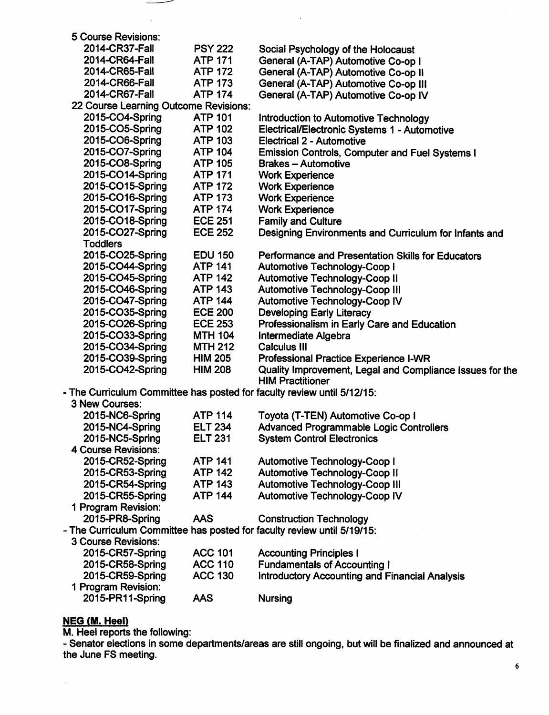| 5 Course Revisions:                                                     |                |                                                          |
|-------------------------------------------------------------------------|----------------|----------------------------------------------------------|
| 2014-CR37-Fall                                                          | <b>PSY 222</b> | Social Psychology of the Holocaust                       |
| 2014-CR64-Fall                                                          | <b>ATP 171</b> | General (A-TAP) Automotive Co-op I                       |
| 2014-CR65-Fall                                                          | <b>ATP 172</b> | General (A-TAP) Automotive Co-op II                      |
| 2014-CR66-Fall                                                          | <b>ATP 173</b> | General (A-TAP) Automotive Co-op III                     |
| 2014-CR67-Fall                                                          | <b>ATP 174</b> | General (A-TAP) Automotive Co-op IV                      |
| 22 Course Learning Outcome Revisions:                                   |                |                                                          |
| 2015-CO4-Spring                                                         | <b>ATP 101</b> | Introduction to Automotive Technology                    |
| 2015-CO5-Spring                                                         | <b>ATP 102</b> | Electrical/Electronic Systems 1 - Automotive             |
| 2015-CO6-Spring                                                         | <b>ATP 103</b> | Electrical 2 - Automotive                                |
| 2015-CO7-Spring                                                         | <b>ATP 104</b> | <b>Emission Controls, Computer and Fuel Systems I</b>    |
| 2015-CO8-Spring                                                         | <b>ATP 105</b> | <b>Brakes - Automotive</b>                               |
| 2015-CO14-Spring                                                        | <b>ATP 171</b> | <b>Work Experience</b>                                   |
| 2015-CO15-Spring                                                        | <b>ATP 172</b> | <b>Work Experience</b>                                   |
| 2015-CO16-Spring                                                        | <b>ATP 173</b> | <b>Work Experience</b>                                   |
| 2015-CO17-Spring                                                        | <b>ATP 174</b> | <b>Work Experience</b>                                   |
| 2015-CO18-Spring                                                        | <b>ECE 251</b> | <b>Family and Culture</b>                                |
| 2015-CO27-Spring                                                        | <b>ECE 252</b> | Designing Environments and Curriculum for Infants and    |
| <b>Toddlers</b>                                                         |                |                                                          |
| 2015-CO25-Spring                                                        | <b>EDU 150</b> | Performance and Presentation Skills for Educators        |
| 2015-CO44-Spring                                                        | <b>ATP 141</b> | <b>Automotive Technology-Coop I</b>                      |
| 2015-CO45-Spring                                                        | <b>ATP 142</b> | <b>Automotive Technology-Coop II</b>                     |
| 2015-CO46-Spring                                                        | <b>ATP 143</b> | <b>Automotive Technology-Coop III</b>                    |
| 2015-CO47-Spring                                                        | <b>ATP 144</b> | Automotive Technology-Coop IV                            |
| 2015-CO35-Spring                                                        | <b>ECE 200</b> | <b>Developing Early Literacy</b>                         |
| 2015-CO26-Spring                                                        | <b>ECE 253</b> | Professionalism in Early Care and Education              |
| 2015-CO33-Spring                                                        | <b>MTH 104</b> | Intermediate Algebra                                     |
| 2015-CO34-Spring                                                        | <b>MTH 212</b> | <b>Calculus III</b>                                      |
| 2015-CO39-Spring                                                        | <b>HIM 205</b> | <b>Professional Practice Experience I-WR</b>             |
| 2015-CO42-Spring                                                        | <b>HIM 208</b> | Quality Improvement, Legal and Compliance Issues for the |
|                                                                         |                | <b>HIM Practitioner</b>                                  |
| - The Curriculum Committee has posted for faculty review until 5/12/15: |                |                                                          |
| 3 New Courses:                                                          |                |                                                          |
| 2015-NC6-Spring                                                         | <b>ATP 114</b> | Toyota (T-TEN) Automotive Co-op I                        |
| 2015-NC4-Spring                                                         | <b>ELT 234</b> | <b>Advanced Programmable Logic Controllers</b>           |
| 2015-NC5-Spring                                                         | <b>ELT 231</b> | <b>System Control Electronics</b>                        |
| <b>4 Course Revisions:</b>                                              |                |                                                          |
| 2015-CR52-Spring                                                        | <b>ATP 141</b> | <b>Automotive Technology-Coop I</b>                      |
| 2015-CR53-Spring                                                        | <b>ATP 142</b> | <b>Automotive Technology-Coop II</b>                     |
| 2015-CR54-Spring                                                        | <b>ATP 143</b> | <b>Automotive Technology-Coop III</b>                    |
| 2015-CR55-Spring                                                        | <b>ATP 144</b> | Automotive Technology-Coop IV                            |
| 1 Program Revision:                                                     |                |                                                          |
| 2015-PR8-Spring                                                         | <b>AAS</b>     | <b>Construction Technology</b>                           |
| - The Curriculum Committee has posted for faculty review until 5/19/15: |                |                                                          |
| 3 Course Revisions:                                                     |                |                                                          |
| 2015-CR57-Spring                                                        | <b>ACC 101</b> | <b>Accounting Principles I</b>                           |
| 2015-CR58-Spring                                                        | <b>ACC 110</b> | <b>Fundamentals of Accounting I</b>                      |
| 2015-CR59-Spring                                                        | <b>ACC 130</b> | <b>Introductory Accounting and Financial Analysis</b>    |
| 1 Program Revision:                                                     |                |                                                          |
| 2015-PR11-Spring                                                        | <b>AAS</b>     | <b>Nursing</b>                                           |

 $\mathcal{A}^{\mathcal{A}}$ 

#### *NEG (M. Heel)*

 $\hat{\mathcal{A}}$ 

M. Heel reports the following:

 $\overbrace{\hspace{27mm}}^{}$ 

- Senator elections in some departments/areas are still ongoing, but will be finalized and announced at the June FS meeting.

 $\hat{\mathcal{F}}$